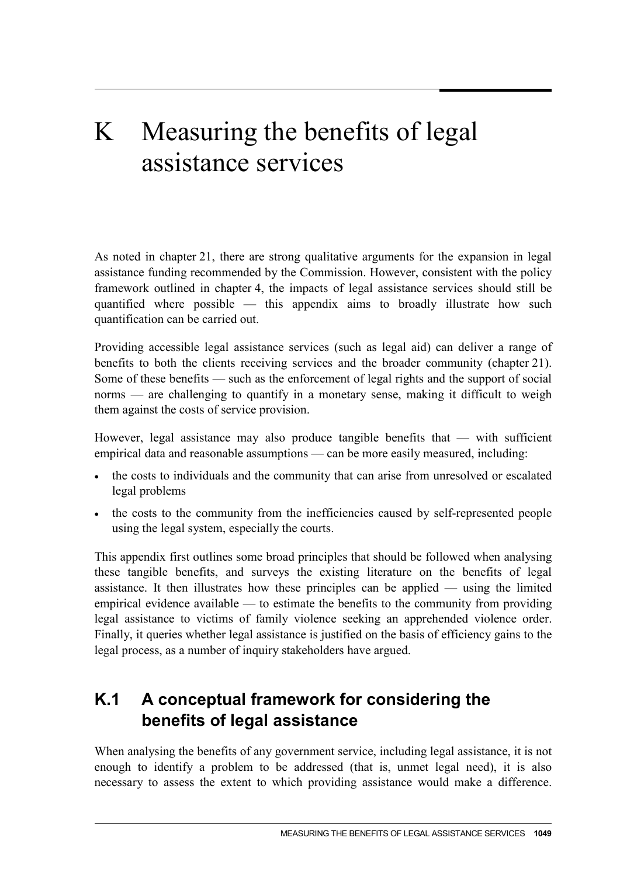# K Measuring the benefits of legal assistance services

As noted in chapter 21, there are strong qualitative arguments for the expansion in legal assistance funding recommended by the Commission. However, consistent with the policy framework outlined in chapter 4, the impacts of legal assistance services should still be quantified where possible — this appendix aims to broadly illustrate how such quantification can be carried out.

Providing accessible legal assistance services (such as legal aid) can deliver a range of benefits to both the clients receiving services and the broader community (chapter 21). Some of these benefits — such as the enforcement of legal rights and the support of social norms — are challenging to quantify in a monetary sense, making it difficult to weigh them against the costs of service provision.

However, legal assistance may also produce tangible benefits that — with sufficient empirical data and reasonable assumptions — can be more easily measured, including:

- the costs to individuals and the community that can arise from unresolved or escalated legal problems
- the costs to the community from the inefficiencies caused by self-represented people using the legal system, especially the courts.

This appendix first outlines some broad principles that should be followed when analysing these tangible benefits, and surveys the existing literature on the benefits of legal assistance. It then illustrates how these principles can be applied — using the limited empirical evidence available — to estimate the benefits to the community from providing legal assistance to victims of family violence seeking an apprehended violence order. Finally, it queries whether legal assistance is justified on the basis of efficiency gains to the legal process, as a number of inquiry stakeholders have argued.

# **K.1 A conceptual framework for considering the benefits of legal assistance**

<span id="page-0-0"></span>When analysing the benefits of any government service, including legal assistance, it is not enough to identify a problem to be addressed (that is, unmet legal need), it is also necessary to assess the extent to which providing assistance would make a difference.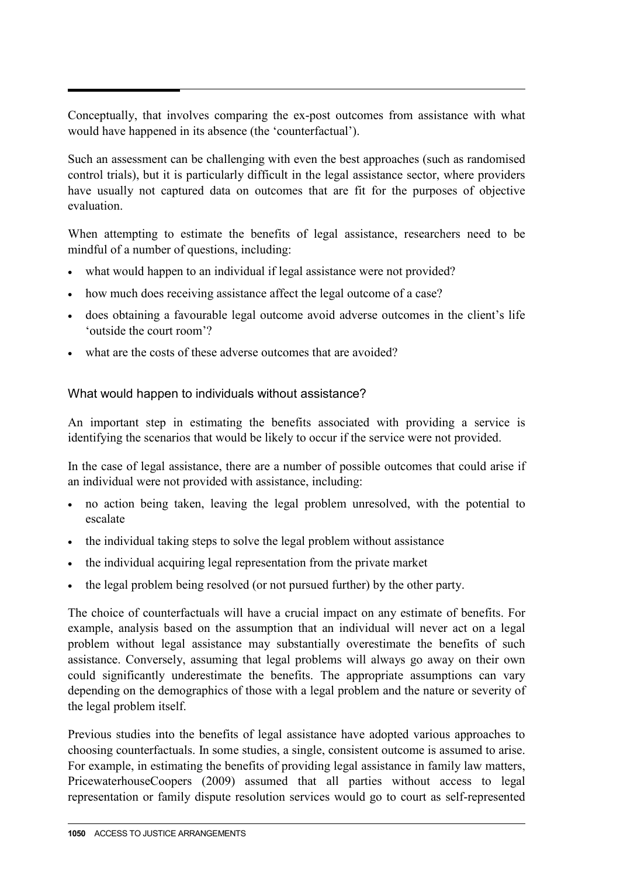Conceptually, that involves comparing the ex-post outcomes from assistance with what would have happened in its absence (the 'counterfactual').

Such an assessment can be challenging with even the best approaches (such as randomised control trials), but it is particularly difficult in the legal assistance sector, where providers have usually not captured data on outcomes that are fit for the purposes of objective evaluation.

When attempting to estimate the benefits of legal assistance, researchers need to be mindful of a number of questions, including:

- what would happen to an individual if legal assistance were not provided?
- how much does receiving assistance affect the legal outcome of a case?
- does obtaining a favourable legal outcome avoid adverse outcomes in the client's life 'outside the court room'?
- what are the costs of these adverse outcomes that are avoided?

#### What would happen to individuals without assistance?

An important step in estimating the benefits associated with providing a service is identifying the scenarios that would be likely to occur if the service were not provided.

In the case of legal assistance, there are a number of possible outcomes that could arise if an individual were not provided with assistance, including:

- no action being taken, leaving the legal problem unresolved, with the potential to escalate
- the individual taking steps to solve the legal problem without assistance
- the individual acquiring legal representation from the private market
- the legal problem being resolved (or not pursued further) by the other party.

The choice of counterfactuals will have a crucial impact on any estimate of benefits. For example, analysis based on the assumption that an individual will never act on a legal problem without legal assistance may substantially overestimate the benefits of such assistance. Conversely, assuming that legal problems will always go away on their own could significantly underestimate the benefits. The appropriate assumptions can vary depending on the demographics of those with a legal problem and the nature or severity of the legal problem itself.

Previous studies into the benefits of legal assistance have adopted various approaches to choosing counterfactuals. In some studies, a single, consistent outcome is assumed to arise. For example, in estimating the benefits of providing legal assistance in family law matters, PricewaterhouseCoopers (2009) assumed that all parties without access to legal representation or family dispute resolution services would go to court as self-represented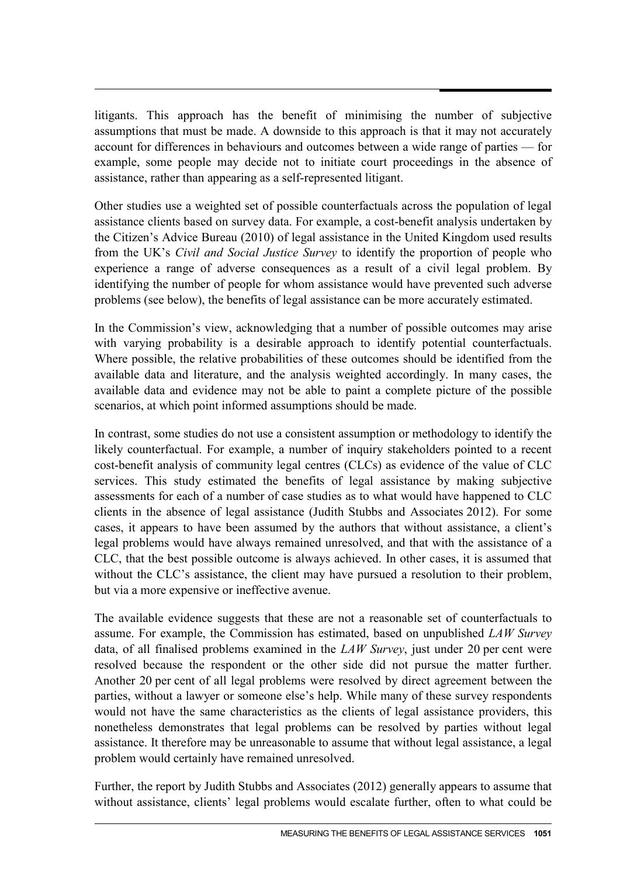litigants. This approach has the benefit of minimising the number of subjective assumptions that must be made. A downside to this approach is that it may not accurately account for differences in behaviours and outcomes between a wide range of parties — for example, some people may decide not to initiate court proceedings in the absence of assistance, rather than appearing as a self-represented litigant.

Other studies use a weighted set of possible counterfactuals across the population of legal assistance clients based on survey data. For example, a cost-benefit analysis undertaken by the Citizen's Advice Bureau (2010) of legal assistance in the United Kingdom used results from the UK's *Civil and Social Justice Survey* to identify the proportion of people who experience a range of adverse consequences as a result of a civil legal problem. By identifying the number of people for whom assistance would have prevented such adverse problems (see below), the benefits of legal assistance can be more accurately estimated.

In the Commission's view, acknowledging that a number of possible outcomes may arise with varying probability is a desirable approach to identify potential counterfactuals. Where possible, the relative probabilities of these outcomes should be identified from the available data and literature, and the analysis weighted accordingly. In many cases, the available data and evidence may not be able to paint a complete picture of the possible scenarios, at which point informed assumptions should be made.

In contrast, some studies do not use a consistent assumption or methodology to identify the likely counterfactual. For example, a number of inquiry stakeholders pointed to a recent cost-benefit analysis of community legal centres (CLCs) as evidence of the value of CLC services. This study estimated the benefits of legal assistance by making subjective assessments for each of a number of case studies as to what would have happened to CLC clients in the absence of legal assistance (Judith Stubbs and Associates 2012). For some cases, it appears to have been assumed by the authors that without assistance, a client's legal problems would have always remained unresolved, and that with the assistance of a CLC, that the best possible outcome is always achieved. In other cases, it is assumed that without the CLC's assistance, the client may have pursued a resolution to their problem, but via a more expensive or ineffective avenue.

The available evidence suggests that these are not a reasonable set of counterfactuals to assume. For example, the Commission has estimated, based on unpublished *LAW Survey* data, of all finalised problems examined in the *LAW Survey*, just under 20 per cent were resolved because the respondent or the other side did not pursue the matter further. Another 20 per cent of all legal problems were resolved by direct agreement between the parties, without a lawyer or someone else's help. While many of these survey respondents would not have the same characteristics as the clients of legal assistance providers, this nonetheless demonstrates that legal problems can be resolved by parties without legal assistance. It therefore may be unreasonable to assume that without legal assistance, a legal problem would certainly have remained unresolved.

Further, the report by Judith Stubbs and Associates (2012) generally appears to assume that without assistance, clients' legal problems would escalate further, often to what could be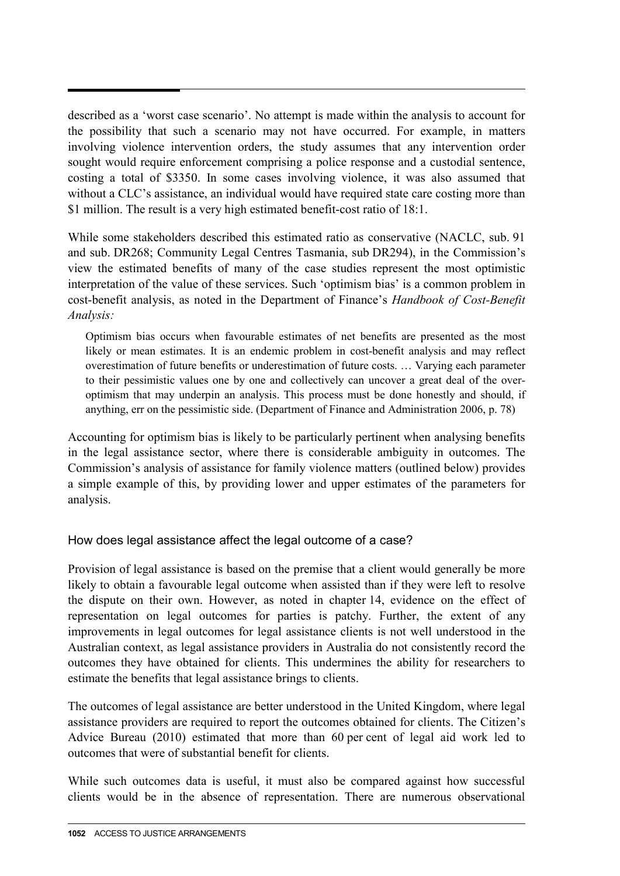described as a 'worst case scenario'. No attempt is made within the analysis to account for the possibility that such a scenario may not have occurred. For example, in matters involving violence intervention orders, the study assumes that any intervention order sought would require enforcement comprising a police response and a custodial sentence, costing a total of \$3350. In some cases involving violence, it was also assumed that without a CLC's assistance, an individual would have required state care costing more than \$1 million. The result is a very high estimated benefit-cost ratio of 18:1.

While some stakeholders described this estimated ratio as conservative (NACLC, sub. 91 and sub. DR268; Community Legal Centres Tasmania, sub DR294), in the Commission's view the estimated benefits of many of the case studies represent the most optimistic interpretation of the value of these services. Such 'optimism bias' is a common problem in cost-benefit analysis, as noted in the Department of Finance's *Handbook of Cost-Benefit Analysis:*

Optimism bias occurs when favourable estimates of net benefits are presented as the most likely or mean estimates. It is an endemic problem in cost-benefit analysis and may reflect overestimation of future benefits or underestimation of future costs. … Varying each parameter to their pessimistic values one by one and collectively can uncover a great deal of the overoptimism that may underpin an analysis. This process must be done honestly and should, if anything, err on the pessimistic side. (Department of Finance and Administration 2006, p. 78)

Accounting for optimism bias is likely to be particularly pertinent when analysing benefits in the legal assistance sector, where there is considerable ambiguity in outcomes. The Commission's analysis of assistance for family violence matters (outlined below) provides a simple example of this, by providing lower and upper estimates of the parameters for analysis.

### How does legal assistance affect the legal outcome of a case?

Provision of legal assistance is based on the premise that a client would generally be more likely to obtain a favourable legal outcome when assisted than if they were left to resolve the dispute on their own. However, as noted in chapter 14, evidence on the effect of representation on legal outcomes for parties is patchy. Further, the extent of any improvements in legal outcomes for legal assistance clients is not well understood in the Australian context, as legal assistance providers in Australia do not consistently record the outcomes they have obtained for clients. This undermines the ability for researchers to estimate the benefits that legal assistance brings to clients.

The outcomes of legal assistance are better understood in the United Kingdom, where legal assistance providers are required to report the outcomes obtained for clients. The Citizen's Advice Bureau (2010) estimated that more than 60 per cent of legal aid work led to outcomes that were of substantial benefit for clients.

While such outcomes data is useful, it must also be compared against how successful clients would be in the absence of representation. There are numerous observational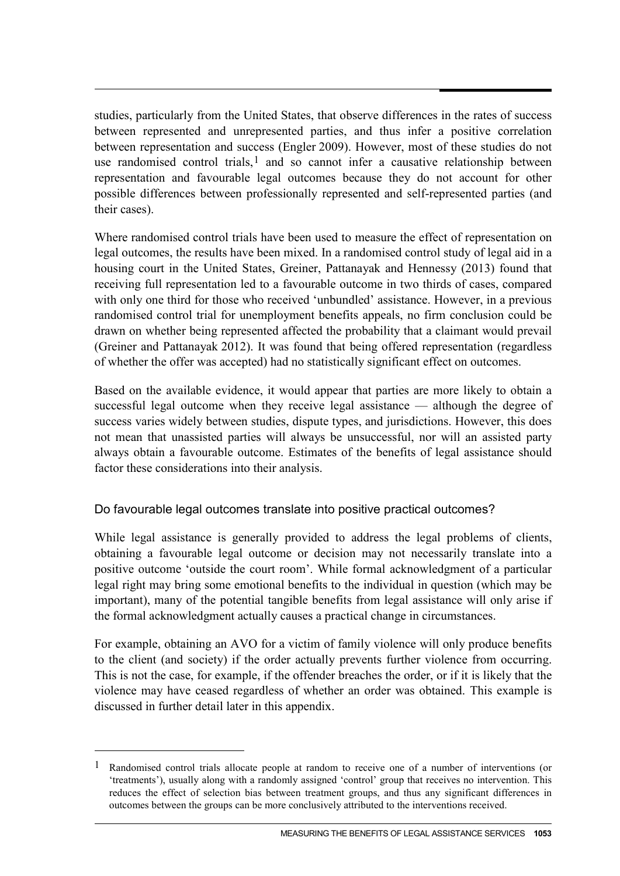studies, particularly from the United States, that observe differences in the rates of success between represented and unrepresented parties, and thus infer a positive correlation between representation and success (Engler 2009). However, most of these studies do not use randomised control trials,  $\frac{1}{1}$  $\frac{1}{1}$  $\frac{1}{1}$  and so cannot infer a causative relationship between representation and favourable legal outcomes because they do not account for other possible differences between professionally represented and self-represented parties (and their cases).

Where randomised control trials have been used to measure the effect of representation on legal outcomes, the results have been mixed. In a randomised control study of legal aid in a housing court in the United States, Greiner, Pattanayak and Hennessy (2013) found that receiving full representation led to a favourable outcome in two thirds of cases, compared with only one third for those who received 'unbundled' assistance. However, in a previous randomised control trial for unemployment benefits appeals, no firm conclusion could be drawn on whether being represented affected the probability that a claimant would prevail (Greiner and Pattanayak 2012). It was found that being offered representation (regardless of whether the offer was accepted) had no statistically significant effect on outcomes.

Based on the available evidence, it would appear that parties are more likely to obtain a successful legal outcome when they receive legal assistance — although the degree of success varies widely between studies, dispute types, and jurisdictions. However, this does not mean that unassisted parties will always be unsuccessful, nor will an assisted party always obtain a favourable outcome. Estimates of the benefits of legal assistance should factor these considerations into their analysis.

### Do favourable legal outcomes translate into positive practical outcomes?

While legal assistance is generally provided to address the legal problems of clients, obtaining a favourable legal outcome or decision may not necessarily translate into a positive outcome 'outside the court room'. While formal acknowledgment of a particular legal right may bring some emotional benefits to the individual in question (which may be important), many of the potential tangible benefits from legal assistance will only arise if the formal acknowledgment actually causes a practical change in circumstances.

For example, obtaining an AVO for a victim of family violence will only produce benefits to the client (and society) if the order actually prevents further violence from occurring. This is not the case, for example, if the offender breaches the order, or if it is likely that the violence may have ceased regardless of whether an order was obtained. This example is discussed in further detail later in this appendix.

-

<sup>1</sup> Randomised control trials allocate people at random to receive one of a number of interventions (or 'treatments'), usually along with a randomly assigned 'control' group that receives no intervention. This reduces the effect of selection bias between treatment groups, and thus any significant differences in outcomes between the groups can be more conclusively attributed to the interventions received.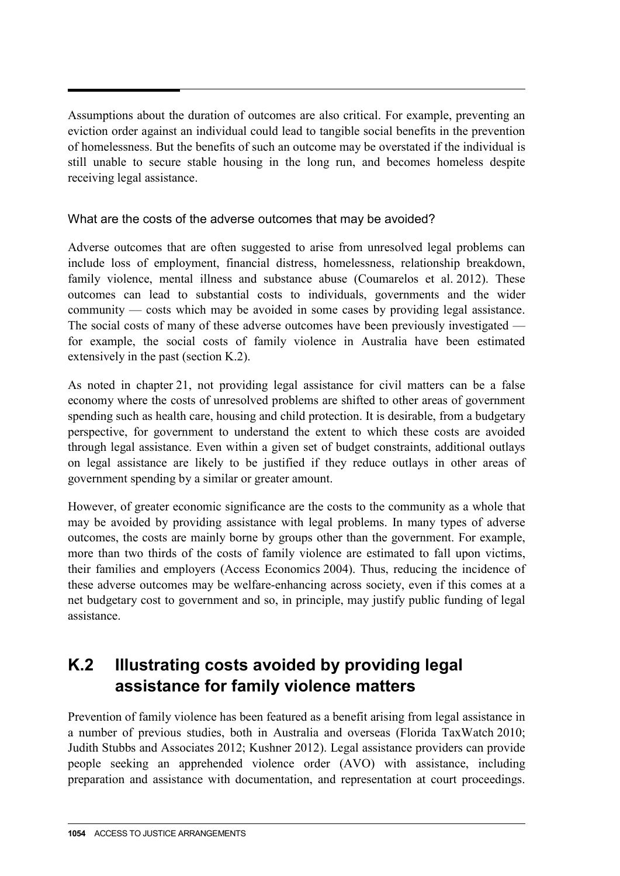Assumptions about the duration of outcomes are also critical. For example, preventing an eviction order against an individual could lead to tangible social benefits in the prevention of homelessness. But the benefits of such an outcome may be overstated if the individual is still unable to secure stable housing in the long run, and becomes homeless despite receiving legal assistance.

#### What are the costs of the adverse outcomes that may be avoided?

Adverse outcomes that are often suggested to arise from unresolved legal problems can include loss of employment, financial distress, homelessness, relationship breakdown, family violence, mental illness and substance abuse (Coumarelos et al. 2012). These outcomes can lead to substantial costs to individuals, governments and the wider community — costs which may be avoided in some cases by providing legal assistance. The social costs of many of these adverse outcomes have been previously investigated for example, the social costs of family violence in Australia have been estimated extensively in the past (section K.2).

As noted in chapter 21, not providing legal assistance for civil matters can be a false economy where the costs of unresolved problems are shifted to other areas of government spending such as health care, housing and child protection. It is desirable, from a budgetary perspective, for government to understand the extent to which these costs are avoided through legal assistance. Even within a given set of budget constraints, additional outlays on legal assistance are likely to be justified if they reduce outlays in other areas of government spending by a similar or greater amount.

However, of greater economic significance are the costs to the community as a whole that may be avoided by providing assistance with legal problems. In many types of adverse outcomes, the costs are mainly borne by groups other than the government. For example, more than two thirds of the costs of family violence are estimated to fall upon victims, their families and employers (Access Economics 2004). Thus, reducing the incidence of these adverse outcomes may be welfare-enhancing across society, even if this comes at a net budgetary cost to government and so, in principle, may justify public funding of legal assistance.

# **K.2 Illustrating costs avoided by providing legal assistance for family violence matters**

Prevention of family violence has been featured as a benefit arising from legal assistance in a number of previous studies, both in Australia and overseas (Florida TaxWatch 2010; Judith Stubbs and Associates 2012; Kushner 2012). Legal assistance providers can provide people seeking an apprehended violence order (AVO) with assistance, including preparation and assistance with documentation, and representation at court proceedings.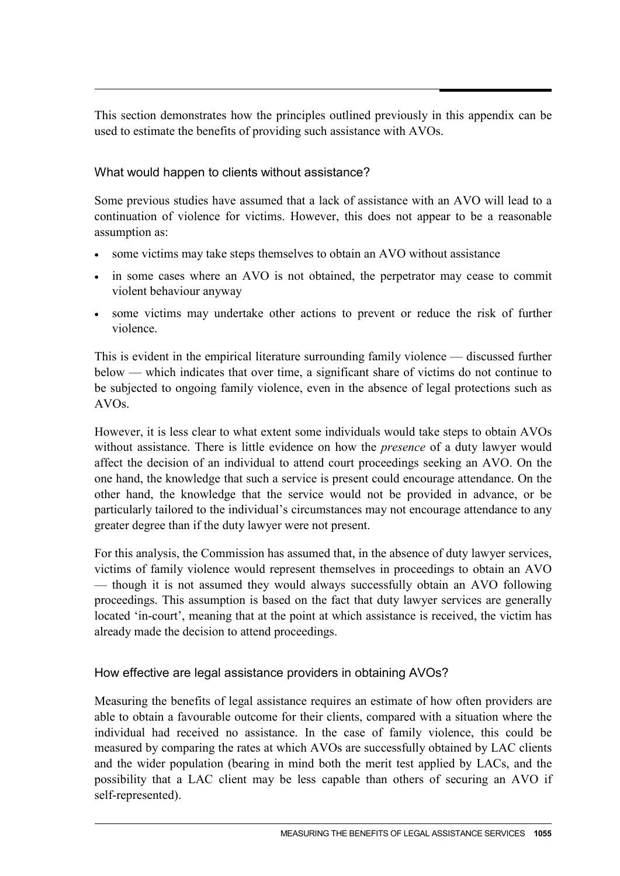This section demonstrates how the principles outlined previously in this appendix can be used to estimate the benefits of providing such assistance with AVOs.

## What would happen to clients without assistance?

Some previous studies have assumed that a lack of assistance with an AVO will lead to a continuation of violence for victims. However, this does not appear to be a reasonable assumption as:

- some victims may take steps themselves to obtain an AVO without assistance
- in some cases where an AVO is not obtained, the perpetrator may cease to commit violent behaviour anyway
- some victims may undertake other actions to prevent or reduce the risk of further violence.

This is evident in the empirical literature surrounding family violence — discussed further below — which indicates that over time, a significant share of victims do not continue to be subjected to ongoing family violence, even in the absence of legal protections such as AVOs.

However, it is less clear to what extent some individuals would take steps to obtain AVOs without assistance. There is little evidence on how the *presence* of a duty lawyer would affect the decision of an individual to attend court proceedings seeking an AVO. On the one hand, the knowledge that such a service is present could encourage attendance. On the other hand, the knowledge that the service would not be provided in advance, or be particularly tailored to the individual's circumstances may not encourage attendance to any greater degree than if the duty lawyer were not present.

For this analysis, the Commission has assumed that, in the absence of duty lawyer services, victims of family violence would represent themselves in proceedings to obtain an AVO — though it is not assumed they would always successfully obtain an AVO following proceedings. This assumption is based on the fact that duty lawyer services are generally located 'in-court', meaning that at the point at which assistance is received, the victim has already made the decision to attend proceedings.

### How effective are legal assistance providers in obtaining AVOs?

Measuring the benefits of legal assistance requires an estimate of how often providers are able to obtain a favourable outcome for their clients, compared with a situation where the individual had received no assistance. In the case of family violence, this could be measured by comparing the rates at which AVOs are successfully obtained by LAC clients and the wider population (bearing in mind both the merit test applied by LACs, and the possibility that a LAC client may be less capable than others of securing an AVO if self-represented).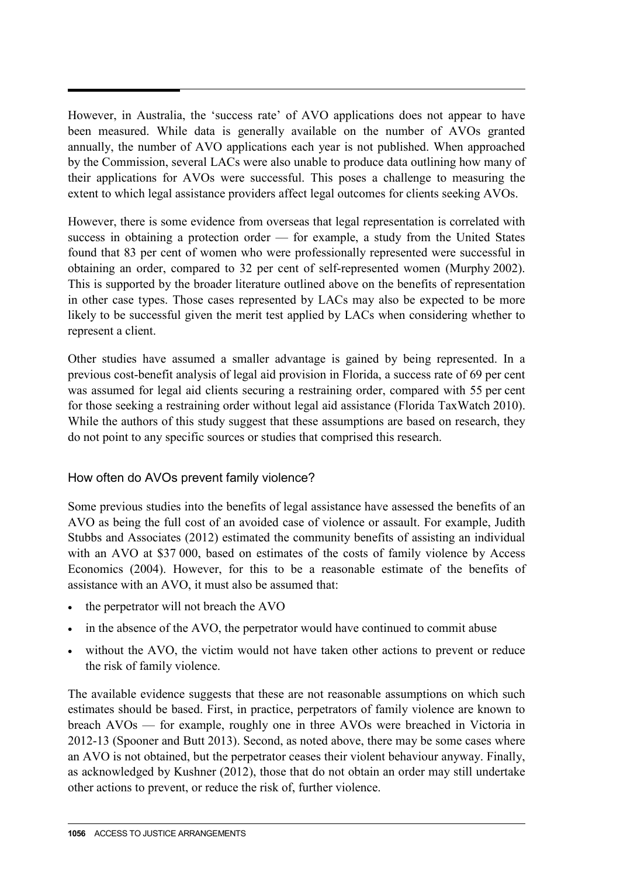However, in Australia, the 'success rate' of AVO applications does not appear to have been measured. While data is generally available on the number of AVOs granted annually, the number of AVO applications each year is not published. When approached by the Commission, several LACs were also unable to produce data outlining how many of their applications for AVOs were successful. This poses a challenge to measuring the extent to which legal assistance providers affect legal outcomes for clients seeking AVOs.

However, there is some evidence from overseas that legal representation is correlated with success in obtaining a protection order — for example, a study from the United States found that 83 per cent of women who were professionally represented were successful in obtaining an order, compared to 32 per cent of self-represented women (Murphy 2002). This is supported by the broader literature outlined above on the benefits of representation in other case types. Those cases represented by LACs may also be expected to be more likely to be successful given the merit test applied by LACs when considering whether to represent a client.

Other studies have assumed a smaller advantage is gained by being represented. In a previous cost-benefit analysis of legal aid provision in Florida, a success rate of 69 per cent was assumed for legal aid clients securing a restraining order, compared with 55 per cent for those seeking a restraining order without legal aid assistance (Florida TaxWatch 2010). While the authors of this study suggest that these assumptions are based on research, they do not point to any specific sources or studies that comprised this research.

### How often do AVOs prevent family violence?

Some previous studies into the benefits of legal assistance have assessed the benefits of an AVO as being the full cost of an avoided case of violence or assault. For example, Judith Stubbs and Associates (2012) estimated the community benefits of assisting an individual with an AVO at \$37 000, based on estimates of the costs of family violence by Access Economics (2004). However, for this to be a reasonable estimate of the benefits of assistance with an AVO, it must also be assumed that:

- the perpetrator will not breach the AVO
- in the absence of the AVO, the perpetrator would have continued to commit abuse
- without the AVO, the victim would not have taken other actions to prevent or reduce the risk of family violence.

The available evidence suggests that these are not reasonable assumptions on which such estimates should be based. First, in practice, perpetrators of family violence are known to breach AVOs — for example, roughly one in three AVOs were breached in Victoria in 2012-13 (Spooner and Butt 2013). Second, as noted above, there may be some cases where an AVO is not obtained, but the perpetrator ceases their violent behaviour anyway. Finally, as acknowledged by Kushner (2012), those that do not obtain an order may still undertake other actions to prevent, or reduce the risk of, further violence.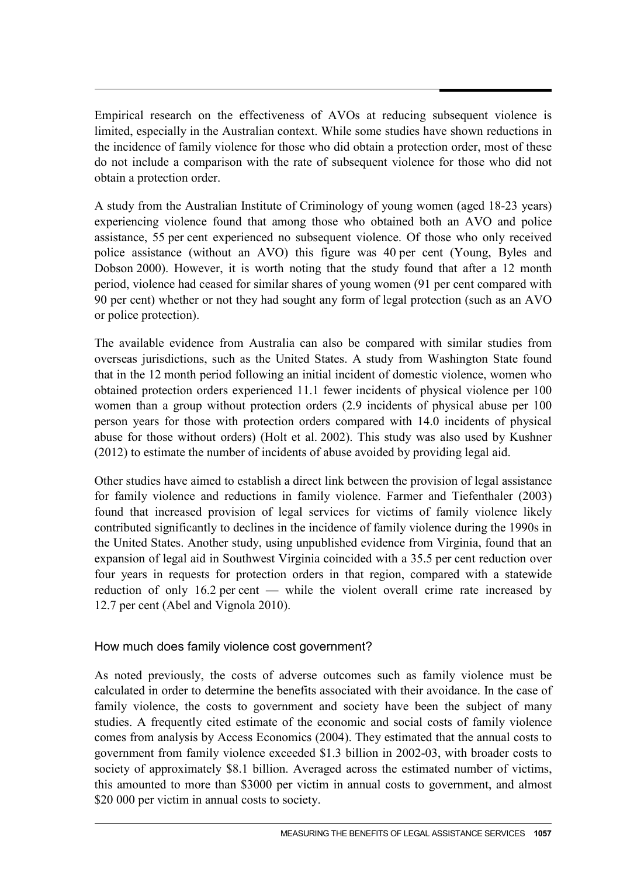Empirical research on the effectiveness of AVOs at reducing subsequent violence is limited, especially in the Australian context. While some studies have shown reductions in the incidence of family violence for those who did obtain a protection order, most of these do not include a comparison with the rate of subsequent violence for those who did not obtain a protection order.

A study from the Australian Institute of Criminology of young women (aged 18-23 years) experiencing violence found that among those who obtained both an AVO and police assistance, 55 per cent experienced no subsequent violence. Of those who only received police assistance (without an AVO) this figure was 40 per cent (Young, Byles and Dobson 2000). However, it is worth noting that the study found that after a 12 month period, violence had ceased for similar shares of young women (91 per cent compared with 90 per cent) whether or not they had sought any form of legal protection (such as an AVO or police protection).

The available evidence from Australia can also be compared with similar studies from overseas jurisdictions, such as the United States. A study from Washington State found that in the 12 month period following an initial incident of domestic violence, women who obtained protection orders experienced 11.1 fewer incidents of physical violence per 100 women than a group without protection orders (2.9 incidents of physical abuse per 100 person years for those with protection orders compared with 14.0 incidents of physical abuse for those without orders) (Holt et al. 2002). This study was also used by Kushner (2012) to estimate the number of incidents of abuse avoided by providing legal aid.

Other studies have aimed to establish a direct link between the provision of legal assistance for family violence and reductions in family violence. Farmer and Tiefenthaler (2003) found that increased provision of legal services for victims of family violence likely contributed significantly to declines in the incidence of family violence during the 1990s in the United States. Another study, using unpublished evidence from Virginia, found that an expansion of legal aid in Southwest Virginia coincided with a 35.5 per cent reduction over four years in requests for protection orders in that region, compared with a statewide reduction of only 16.2 per cent — while the violent overall crime rate increased by 12.7 per cent (Abel and Vignola 2010).

### How much does family violence cost government?

As noted previously, the costs of adverse outcomes such as family violence must be calculated in order to determine the benefits associated with their avoidance. In the case of family violence, the costs to government and society have been the subject of many studies. A frequently cited estimate of the economic and social costs of family violence comes from analysis by Access Economics (2004). They estimated that the annual costs to government from family violence exceeded \$1.3 billion in 2002-03, with broader costs to society of approximately \$8.1 billion. Averaged across the estimated number of victims, this amounted to more than \$3000 per victim in annual costs to government, and almost \$20 000 per victim in annual costs to society.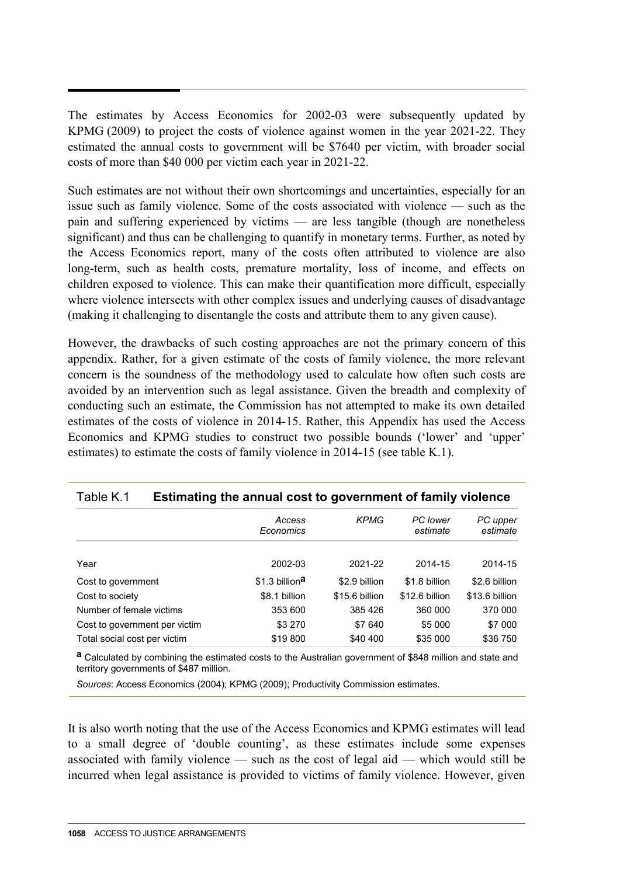The estimates by Access Economics for 2002-03 were subsequently updated by KPMG (2009) to project the costs of violence against women in the year 2021-22. They estimated the annual costs to government will be \$7640 per victim, with broader social costs of more than \$40 000 per victim each year in 2021-22.

Such estimates are not without their own shortcomings and uncertainties, especially for an issue such as family violence. Some of the costs associated with violence — such as the pain and suffering experienced by victims — are less tangible (though are nonetheless significant) and thus can be challenging to quantify in monetary terms. Further, as noted by the Access Economics report, many of the costs often attributed to violence are also long-term, such as health costs, premature mortality, loss of income, and effects on children exposed to violence. This can make their quantification more difficult, especially where violence intersects with other complex issues and underlying causes of disadvantage (making it challenging to disentangle the costs and attribute them to any given cause).

However, the drawbacks of such costing approaches are not the primary concern of this appendix. Rather, for a given estimate of the costs of family violence, the more relevant concern is the soundness of the methodology used to calculate how often such costs are avoided by an intervention such as legal assistance. Given the breadth and complexity of conducting such an estimate, the Commission has not attempted to make its own detailed estimates of the costs of violence in 2014-15. Rather, this Appendix has used the Access Economics and KPMG studies to construct two possible bounds ('lower' and 'upper' estimates) to estimate the costs of family violence in 2014-15 (see table K.1).

|                               | Access<br>Economics         | <b>KPMG</b>    | <b>PC</b> lower<br>estimate | PC upper<br>estimate |  |  |
|-------------------------------|-----------------------------|----------------|-----------------------------|----------------------|--|--|
| Year                          | 2002-03                     | 2021-22        | 2014-15                     | 2014-15              |  |  |
| Cost to government            | $$1.3$ billion <sup>a</sup> | \$2.9 billion  | \$1.8 billion               | \$2.6 billion        |  |  |
| Cost to society               | \$8.1 billion               | \$15.6 billion | \$12.6 billion              | \$13.6 billion       |  |  |
| Number of female victims      | 353 600                     | 385 426        | 360 000                     | 370 000              |  |  |
| Cost to government per victim | \$3 270                     | \$7 640        | \$5 000                     | \$7 000              |  |  |
| Total social cost per victim  | \$19800                     | \$40 400       | \$35 000                    | \$36 750             |  |  |

#### Table K.1 **Estimating the annual cost to government of family violence**

**a** Calculated by combining the estimated costs to the Australian government of \$848 million and state and territory governments of \$487 million.

*Sources*: Access Economics (2004); KPMG (2009); Productivity Commission estimates.

It is also worth noting that the use of the Access Economics and KPMG estimates will lead to a small degree of 'double counting', as these estimates include some expenses associated with family violence — such as the cost of legal aid — which would still be incurred when legal assistance is provided to victims of family violence. However, given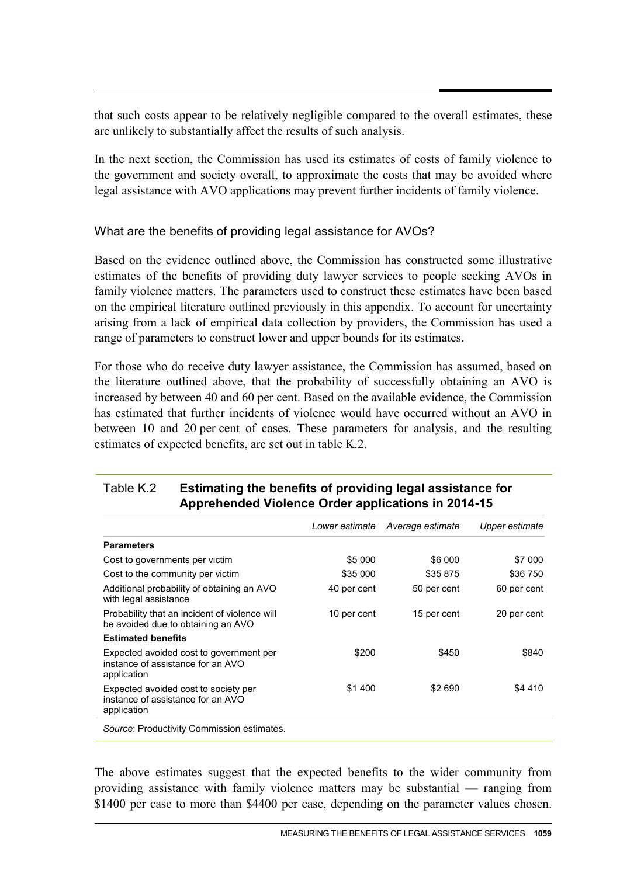that such costs appear to be relatively negligible compared to the overall estimates, these are unlikely to substantially affect the results of such analysis.

In the next section, the Commission has used its estimates of costs of family violence to the government and society overall, to approximate the costs that may be avoided where legal assistance with AVO applications may prevent further incidents of family violence.

#### What are the benefits of providing legal assistance for AVOs?

Based on the evidence outlined above, the Commission has constructed some illustrative estimates of the benefits of providing duty lawyer services to people seeking AVOs in family violence matters. The parameters used to construct these estimates have been based on the empirical literature outlined previously in this appendix. To account for uncertainty arising from a lack of empirical data collection by providers, the Commission has used a range of parameters to construct lower and upper bounds for its estimates.

For those who do receive duty lawyer assistance, the Commission has assumed, based on the literature outlined above, that the probability of successfully obtaining an AVO is increased by between 40 and 60 per cent. Based on the available evidence, the Commission has estimated that further incidents of violence would have occurred without an AVO in between 10 and 20 per cent of cases. These parameters for analysis, and the resulting estimates of expected benefits, are set out in table K.2.

|                                                                                             | Lower estimate | Average estimate | Upper estimate |
|---------------------------------------------------------------------------------------------|----------------|------------------|----------------|
| <b>Parameters</b>                                                                           |                |                  |                |
| Cost to governments per victim                                                              | \$5 000        | \$6 000          | \$7 000        |
| Cost to the community per victim                                                            | \$35 000       | \$35 875         | \$36 750       |
| Additional probability of obtaining an AVO<br>with legal assistance                         | 40 per cent    | 50 per cent      | 60 per cent    |
| Probability that an incident of violence will<br>be avoided due to obtaining an AVO         | 10 per cent    | 15 per cent      | 20 per cent    |
| <b>Estimated benefits</b>                                                                   |                |                  |                |
| Expected avoided cost to government per<br>instance of assistance for an AVO<br>application | \$200          | \$450            | \$840          |
| Expected avoided cost to society per<br>instance of assistance for an AVO<br>application    | \$1400         | \$2 690          | \$4 410        |
| Source: Productivity Commission estimates.                                                  |                |                  |                |

### Table K.2 **Estimating the benefits of providing legal assistance for Apprehended Violence Order applications in 2014-15**

The above estimates suggest that the expected benefits to the wider community from providing assistance with family violence matters may be substantial — ranging from \$1400 per case to more than \$4400 per case, depending on the parameter values chosen.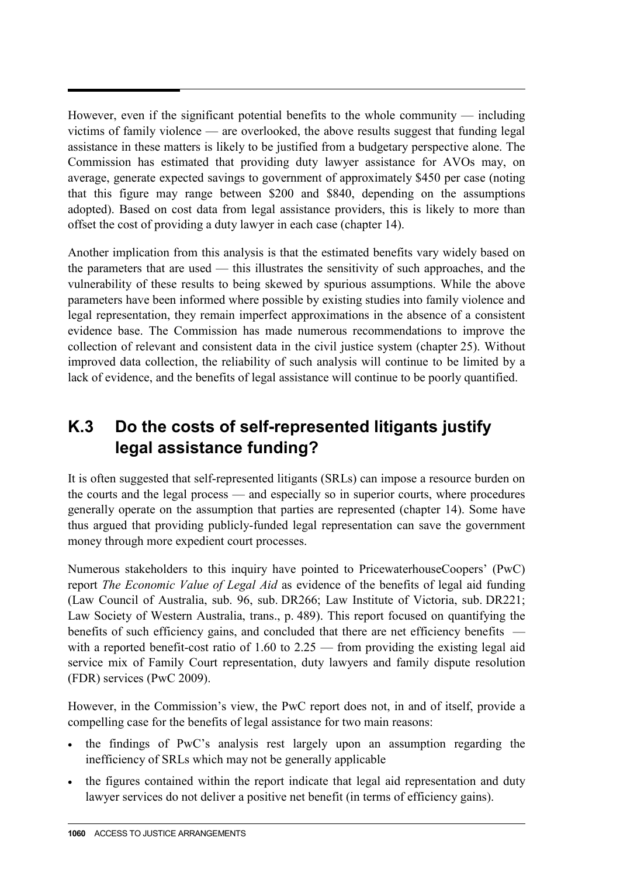However, even if the significant potential benefits to the whole community — including victims of family violence — are overlooked, the above results suggest that funding legal assistance in these matters is likely to be justified from a budgetary perspective alone. The Commission has estimated that providing duty lawyer assistance for AVOs may, on average, generate expected savings to government of approximately \$450 per case (noting that this figure may range between \$200 and \$840, depending on the assumptions adopted). Based on cost data from legal assistance providers, this is likely to more than offset the cost of providing a duty lawyer in each case (chapter 14).

Another implication from this analysis is that the estimated benefits vary widely based on the parameters that are used — this illustrates the sensitivity of such approaches, and the vulnerability of these results to being skewed by spurious assumptions. While the above parameters have been informed where possible by existing studies into family violence and legal representation, they remain imperfect approximations in the absence of a consistent evidence base. The Commission has made numerous recommendations to improve the collection of relevant and consistent data in the civil justice system (chapter 25). Without improved data collection, the reliability of such analysis will continue to be limited by a lack of evidence, and the benefits of legal assistance will continue to be poorly quantified.

## **K.3 Do the costs of self-represented litigants justify legal assistance funding?**

It is often suggested that self-represented litigants (SRLs) can impose a resource burden on the courts and the legal process — and especially so in superior courts, where procedures generally operate on the assumption that parties are represented (chapter 14). Some have thus argued that providing publicly-funded legal representation can save the government money through more expedient court processes.

Numerous stakeholders to this inquiry have pointed to PricewaterhouseCoopers' (PwC) report *The Economic Value of Legal Aid* as evidence of the benefits of legal aid funding (Law Council of Australia, sub. 96, sub. DR266; Law Institute of Victoria, sub. DR221; Law Society of Western Australia, trans., p. 489). This report focused on quantifying the benefits of such efficiency gains, and concluded that there are net efficiency benefits with a reported benefit-cost ratio of 1.60 to 2.25 — from providing the existing legal aid service mix of Family Court representation, duty lawyers and family dispute resolution (FDR) services (PwC 2009).

However, in the Commission's view, the PwC report does not, in and of itself, provide a compelling case for the benefits of legal assistance for two main reasons:

- the findings of PwC's analysis rest largely upon an assumption regarding the inefficiency of SRLs which may not be generally applicable
- the figures contained within the report indicate that legal aid representation and duty lawyer services do not deliver a positive net benefit (in terms of efficiency gains).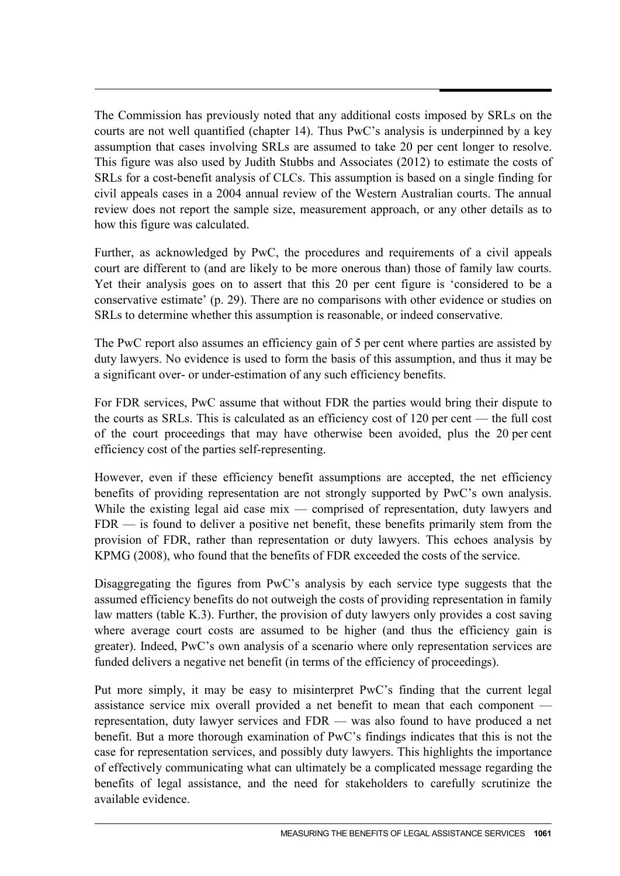The Commission has previously noted that any additional costs imposed by SRLs on the courts are not well quantified (chapter 14). Thus PwC's analysis is underpinned by a key assumption that cases involving SRLs are assumed to take 20 per cent longer to resolve. This figure was also used by Judith Stubbs and Associates (2012) to estimate the costs of SRLs for a cost-benefit analysis of CLCs. This assumption is based on a single finding for civil appeals cases in a 2004 annual review of the Western Australian courts. The annual review does not report the sample size, measurement approach, or any other details as to how this figure was calculated.

Further, as acknowledged by PwC, the procedures and requirements of a civil appeals court are different to (and are likely to be more onerous than) those of family law courts. Yet their analysis goes on to assert that this 20 per cent figure is 'considered to be a conservative estimate' (p. 29). There are no comparisons with other evidence or studies on SRLs to determine whether this assumption is reasonable, or indeed conservative.

The PwC report also assumes an efficiency gain of 5 per cent where parties are assisted by duty lawyers. No evidence is used to form the basis of this assumption, and thus it may be a significant over- or under-estimation of any such efficiency benefits.

For FDR services, PwC assume that without FDR the parties would bring their dispute to the courts as SRLs. This is calculated as an efficiency cost of 120 per cent — the full cost of the court proceedings that may have otherwise been avoided, plus the 20 per cent efficiency cost of the parties self-representing.

However, even if these efficiency benefit assumptions are accepted, the net efficiency benefits of providing representation are not strongly supported by PwC's own analysis. While the existing legal aid case mix — comprised of representation, duty lawyers and FDR — is found to deliver a positive net benefit, these benefits primarily stem from the provision of FDR, rather than representation or duty lawyers. This echoes analysis by KPMG (2008), who found that the benefits of FDR exceeded the costs of the service.

Disaggregating the figures from PwC's analysis by each service type suggests that the assumed efficiency benefits do not outweigh the costs of providing representation in family law matters (table K.3). Further, the provision of duty lawyers only provides a cost saving where average court costs are assumed to be higher (and thus the efficiency gain is greater). Indeed, PwC's own analysis of a scenario where only representation services are funded delivers a negative net benefit (in terms of the efficiency of proceedings).

Put more simply, it may be easy to misinterpret PwC's finding that the current legal assistance service mix overall provided a net benefit to mean that each component representation, duty lawyer services and FDR — was also found to have produced a net benefit. But a more thorough examination of PwC's findings indicates that this is not the case for representation services, and possibly duty lawyers. This highlights the importance of effectively communicating what can ultimately be a complicated message regarding the benefits of legal assistance, and the need for stakeholders to carefully scrutinize the available evidence.